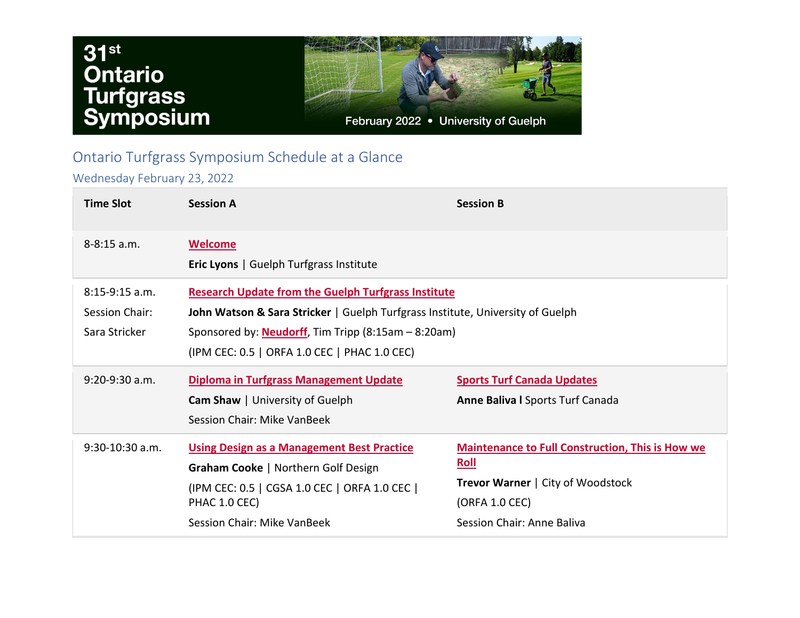## $31<sup>st</sup>$ **Ontario<br>Turfgrass<br>Symposium**



## Ontario Turfgrass Symposium Schedule at a Glance

Wednesday February 23, 2022

| <b>Time Slot</b>                                    | <b>Session A</b>                                                                                                                                                                                                                                            | <b>Session B</b>                                                                                                                                            |
|-----------------------------------------------------|-------------------------------------------------------------------------------------------------------------------------------------------------------------------------------------------------------------------------------------------------------------|-------------------------------------------------------------------------------------------------------------------------------------------------------------|
| $8 - 8:15$ a.m.                                     | <b>Welcome</b><br><b>Eric Lyons</b>   Guelph Turfgrass Institute                                                                                                                                                                                            |                                                                                                                                                             |
| $8:15-9:15$ a.m.<br>Session Chair:<br>Sara Stricker | <b>Research Update from the Guelph Turfgrass Institute</b><br>John Watson & Sara Stricker   Guelph Turfgrass Institute, University of Guelph<br>Sponsored by: <b>Neudorff</b> , Tim Tripp (8:15am – 8:20am)<br>(IPM CEC: 0.5   ORFA 1.0 CEC   PHAC 1.0 CEC) |                                                                                                                                                             |
| $9:20-9:30$ a.m.                                    | <b>Diploma in Turfgrass Management Update</b><br><b>Cam Shaw</b>   University of Guelph<br>Session Chair: Mike VanBeek                                                                                                                                      | <b>Sports Turf Canada Updates</b><br><b>Anne Baliva I Sports Turf Canada</b>                                                                                |
| $9:30-10:30$ a.m.                                   | <b>Using Design as a Management Best Practice</b><br><b>Graham Cooke   Northern Golf Design</b><br>(IPM CEC: 0.5   CGSA 1.0 CEC   ORFA 1.0 CEC  <br>PHAC 1.0 CEC)<br>Session Chair: Mike VanBeek                                                            | <b>Maintenance to Full Construction, This is How we</b><br>Roll<br><b>Trevor Warner   City of Woodstock</b><br>(ORFA 1.0 CEC)<br>Session Chair: Anne Baliva |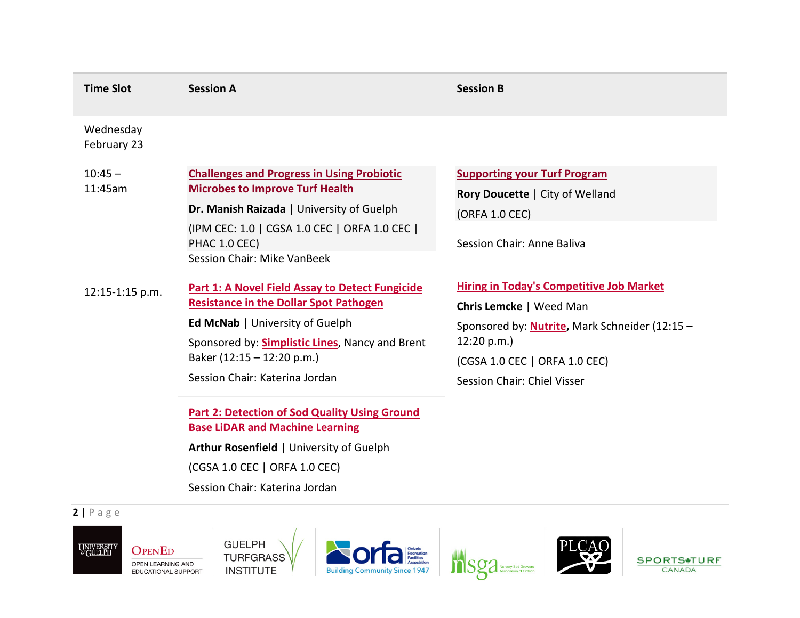| <b>Time Slot</b>         | <b>Session A</b>                                                                                                                                                                                                                                              | <b>Session B</b>                                                                                                                                                                                                           |
|--------------------------|---------------------------------------------------------------------------------------------------------------------------------------------------------------------------------------------------------------------------------------------------------------|----------------------------------------------------------------------------------------------------------------------------------------------------------------------------------------------------------------------------|
| Wednesday<br>February 23 |                                                                                                                                                                                                                                                               |                                                                                                                                                                                                                            |
| $10:45 -$<br>11:45am     | <b>Challenges and Progress in Using Probiotic</b><br><b>Microbes to Improve Turf Health</b><br>Dr. Manish Raizada   University of Guelph<br>(IPM CEC: 1.0   CGSA 1.0 CEC   ORFA 1.0 CEC  <br>PHAC 1.0 CEC)<br>Session Chair: Mike VanBeek                     | <b>Supporting your Turf Program</b><br>Rory Doucette   City of Welland<br>(ORFA 1.0 CEC)<br>Session Chair: Anne Baliva                                                                                                     |
| 12:15-1:15 p.m.          | <b>Part 1: A Novel Field Assay to Detect Fungicide</b><br><b>Resistance in the Dollar Spot Pathogen</b><br>Ed McNab   University of Guelph<br>Sponsored by: Simplistic Lines, Nancy and Brent<br>Baker (12:15 - 12:20 p.m.)<br>Session Chair: Katerina Jordan | <b>Hiring in Today's Competitive Job Market</b><br><b>Chris Lemcke</b>   Weed Man<br>Sponsored by: <b>Nutrite</b> , Mark Schneider (12:15 -<br>12:20 p.m.)<br>(CGSA 1.0 CEC   ORFA 1.0 CEC)<br>Session Chair: Chiel Visser |
|                          | <b>Part 2: Detection of Sod Quality Using Ground</b><br><b>Base LiDAR and Machine Learning</b><br>Arthur Rosenfield   University of Guelph<br>(CGSA 1.0 CEC   ORFA 1.0 CEC)<br>Session Chair: Katerina Jordan                                                 |                                                                                                                                                                                                                            |

**2 |** Page



**GUELPH** TURFGRASS







SPORTS\*TURF CANADA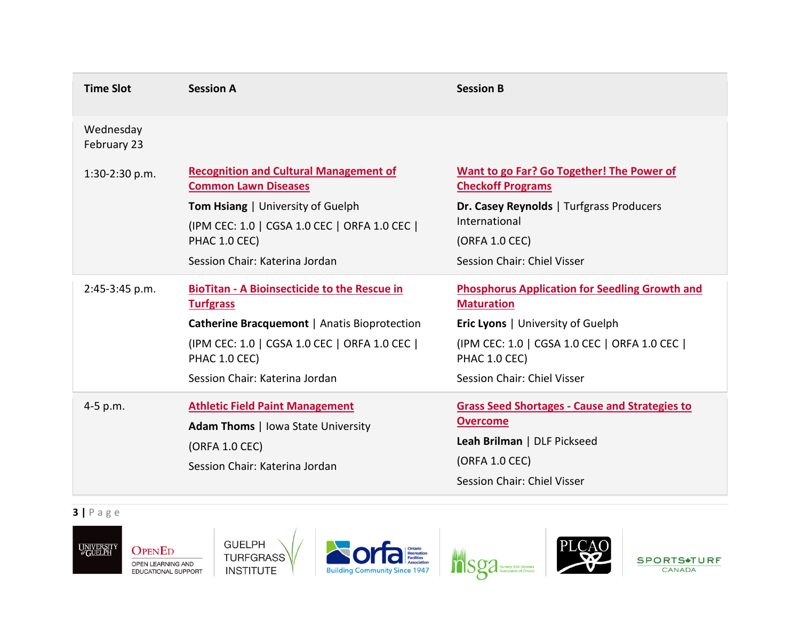| <b>Session A</b>                                                                                                                        | <b>Session B</b>                                                                                                                                         |
|-----------------------------------------------------------------------------------------------------------------------------------------|----------------------------------------------------------------------------------------------------------------------------------------------------------|
|                                                                                                                                         |                                                                                                                                                          |
| <b>Recognition and Cultural Management of</b><br><b>Common Lawn Diseases</b>                                                            | <b>Want to go Far? Go Together! The Power of</b><br><b>Checkoff Programs</b>                                                                             |
| (IPM CEC: 1.0   CGSA 1.0 CEC   ORFA 1.0 CEC  <br>PHAC 1.0 CEC)                                                                          | Dr. Casey Reynolds   Turfgrass Producers<br>International<br>(ORFA 1.0 CEC)                                                                              |
| Session Chair: Katerina Jordan                                                                                                          | Session Chair: Chiel Visser                                                                                                                              |
| <b>BioTitan - A Bioinsecticide to the Rescue in</b><br><b>Turfgrass</b>                                                                 | <b>Phosphorus Application for Seedling Growth and</b><br><b>Maturation</b>                                                                               |
| <b>Catherine Bracquemont   Anatis Bioprotection</b>                                                                                     | Eric Lyons   University of Guelph                                                                                                                        |
| (IPM CEC: 1.0   CGSA 1.0 CEC   ORFA 1.0 CEC  <br>PHAC 1.0 CEC)                                                                          | (IPM CEC: 1.0   CGSA 1.0 CEC   ORFA 1.0 CEC  <br>PHAC 1.0 CEC)                                                                                           |
| Session Chair: Katerina Jordan                                                                                                          | Session Chair: Chiel Visser                                                                                                                              |
| <b>Athletic Field Paint Management</b><br><b>Adam Thoms</b>   Iowa State University<br>(ORFA 1.0 CEC)<br>Session Chair: Katerina Jordan | <b>Grass Seed Shortages - Cause and Strategies to</b><br><b>Overcome</b><br>Leah Brilman   DLF Pickseed<br>(ORFA 1.0 CEC)<br>Session Chair: Chiel Visser |
|                                                                                                                                         | <b>Tom Hsiang   University of Guelph</b>                                                                                                                 |

**3 |** Page











SPORTS\*TURF CANADA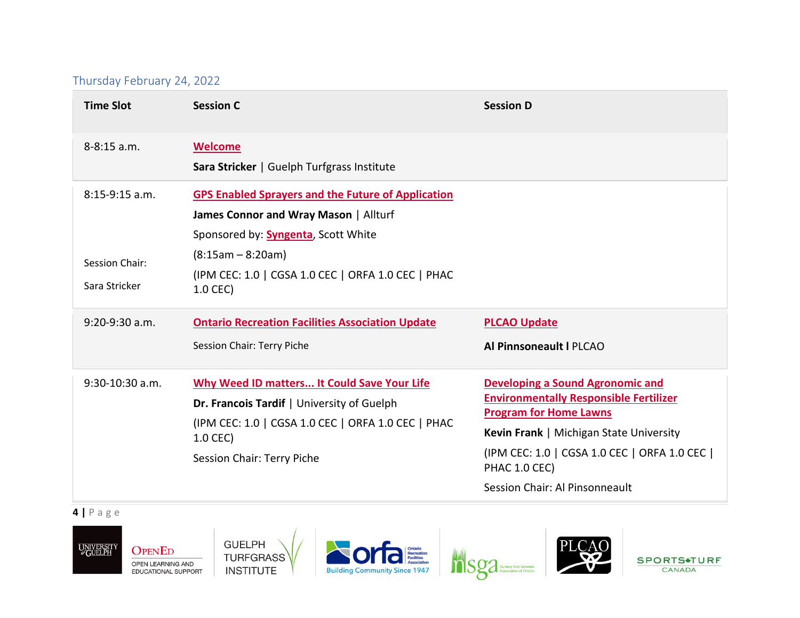## Thursday February 24, 2022

| <b>Time Slot</b>                                    | <b>Session C</b>                                                                                                                                                                                                                           | <b>Session D</b>                                                                                                                                                                                                                                                         |
|-----------------------------------------------------|--------------------------------------------------------------------------------------------------------------------------------------------------------------------------------------------------------------------------------------------|--------------------------------------------------------------------------------------------------------------------------------------------------------------------------------------------------------------------------------------------------------------------------|
| 8-8:15 a.m.                                         | <b>Welcome</b><br>Sara Stricker   Guelph Turfgrass Institute                                                                                                                                                                               |                                                                                                                                                                                                                                                                          |
| $8:15-9:15$ a.m.<br>Session Chair:<br>Sara Stricker | <b>GPS Enabled Sprayers and the Future of Application</b><br>James Connor and Wray Mason   Allturf<br>Sponsored by: <b>Syngenta</b> , Scott White<br>$(8:15am - 8:20am)$<br>(IPM CEC: 1.0   CGSA 1.0 CEC   ORFA 1.0 CEC   PHAC<br>1.0 CEC) |                                                                                                                                                                                                                                                                          |
| $9:20-9:30$ a.m.                                    | <b>Ontario Recreation Facilities Association Update</b><br>Session Chair: Terry Piche                                                                                                                                                      | <b>PLCAO Update</b><br>Al Pinnsoneault I PLCAO                                                                                                                                                                                                                           |
| 9:30-10:30 a.m.                                     | Why Weed ID matters It Could Save Your Life<br>Dr. Francois Tardif   University of Guelph<br>(IPM CEC: 1.0   CGSA 1.0 CEC   ORFA 1.0 CEC   PHAC<br>1.0 CEC)<br>Session Chair: Terry Piche                                                  | <b>Developing a Sound Agronomic and</b><br><b>Environmentally Responsible Fertilizer</b><br><b>Program for Home Lawns</b><br>Kevin Frank   Michigan State University<br>(IPM CEC: 1.0   CGSA 1.0 CEC   ORFA 1.0 CEC  <br>PHAC 1.0 CEC)<br>Session Chair: Al Pinsonneault |

**4 |** Page











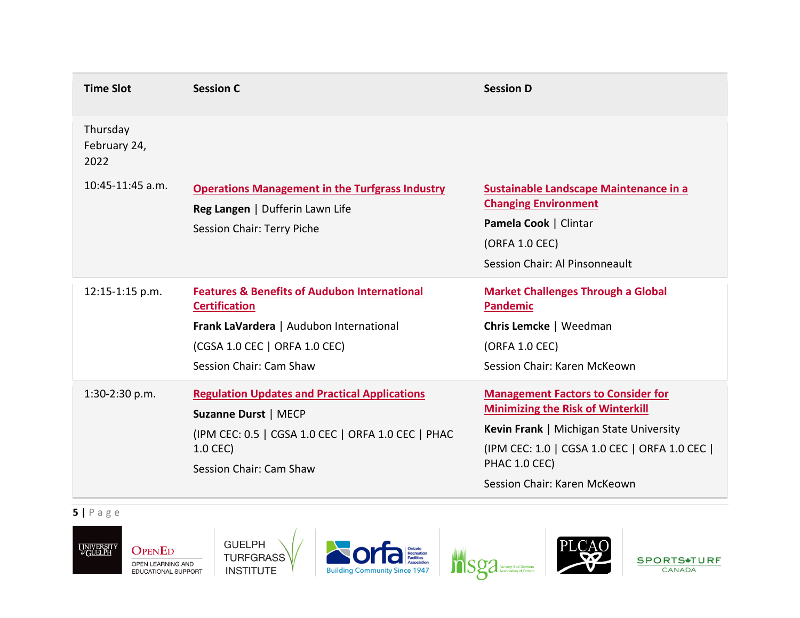| <b>Time Slot</b>                 | <b>Session C</b>                                                                                                                                                                       | <b>Session D</b>                                                                                                                                                                                                                   |
|----------------------------------|----------------------------------------------------------------------------------------------------------------------------------------------------------------------------------------|------------------------------------------------------------------------------------------------------------------------------------------------------------------------------------------------------------------------------------|
| Thursday<br>February 24,<br>2022 |                                                                                                                                                                                        |                                                                                                                                                                                                                                    |
| 10:45-11:45 a.m.                 | <b>Operations Management in the Turfgrass Industry</b><br>Reg Langen   Dufferin Lawn Life<br>Session Chair: Terry Piche                                                                | <b>Sustainable Landscape Maintenance in a</b><br><b>Changing Environment</b><br>Pamela Cook   Clintar<br>(ORFA 1.0 CEC)<br>Session Chair: Al Pinsonneault                                                                          |
| 12:15-1:15 p.m.                  | <b>Features &amp; Benefits of Audubon International</b><br><b>Certification</b><br>Frank LaVardera   Audubon International<br>(CGSA 1.0 CEC   ORFA 1.0 CEC)<br>Session Chair: Cam Shaw | <b>Market Challenges Through a Global</b><br><b>Pandemic</b><br>Chris Lemcke   Weedman<br>(ORFA 1.0 CEC)<br>Session Chair: Karen McKeown                                                                                           |
| 1:30-2:30 p.m.                   | <b>Regulation Updates and Practical Applications</b><br><b>Suzanne Durst   MECP</b><br>(IPM CEC: 0.5   CGSA 1.0 CEC   ORFA 1.0 CEC   PHAC<br>1.0 CEC)<br>Session Chair: Cam Shaw       | <b>Management Factors to Consider for</b><br><b>Minimizing the Risk of Winterkill</b><br>Kevin Frank   Michigan State University<br>(IPM CEC: 1.0   CGSA 1.0 CEC   ORFA 1.0 CEC  <br>PHAC 1.0 CEC)<br>Session Chair: Karen McKeown |

**5 |** Page











SPORTS\*TURF CANADA